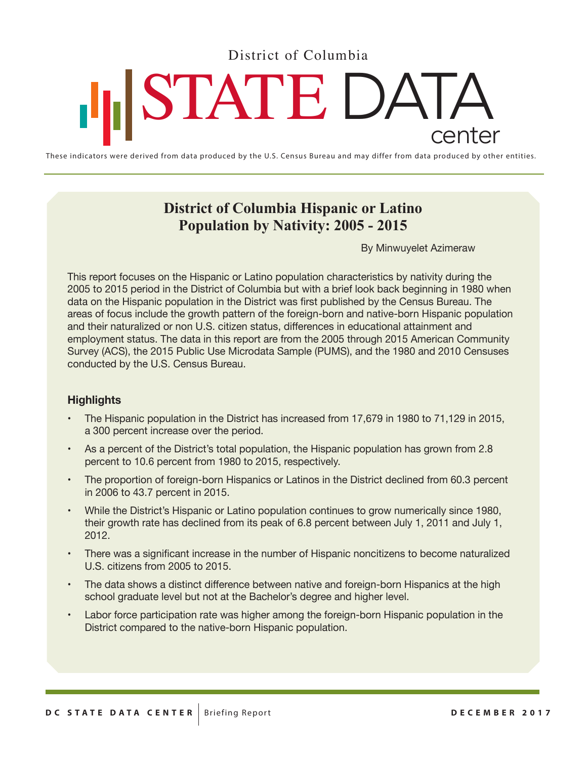District of Columbia

# STATE DATA center

These indicators were derived from data produced by the U.S. Census Bureau and may differ from data produced by other entities.

## **District of Columbia Hispanic or Latino Population by Nativity: 2005 - 2015**

By Minwuyelet Azimeraw

This report focuses on the Hispanic or Latino population characteristics by nativity during the 2005 to 2015 period in the District of Columbia but with a brief look back beginning in 1980 when data on the Hispanic population in the District was first published by the Census Bureau. The areas of focus include the growth pattern of the foreign-born and native-born Hispanic population and their naturalized or non U.S. citizen status, differences in educational attainment and employment status. The data in this report are from the 2005 through 2015 American Community Survey (ACS), the 2015 Public Use Microdata Sample (PUMS), and the 1980 and 2010 Censuses conducted by the U.S. Census Bureau.

#### **Highlights**

- The Hispanic population in the District has increased from 17,679 in 1980 to 71,129 in 2015, a 300 percent increase over the period.
- As a percent of the District's total population, the Hispanic population has grown from 2.8 percent to 10.6 percent from 1980 to 2015, respectively.
- The proportion of foreign-born Hispanics or Latinos in the District declined from 60.3 percent in 2006 to 43.7 percent in 2015.
- While the District's Hispanic or Latino population continues to grow numerically since 1980, their growth rate has declined from its peak of 6.8 percent between July 1, 2011 and July 1, 2012.
- There was a significant increase in the number of Hispanic noncitizens to become naturalized U.S. citizens from 2005 to 2015.
- The data shows a distinct difference between native and foreign-born Hispanics at the high school graduate level but not at the Bachelor's degree and higher level.
- Labor force participation rate was higher among the foreign-born Hispanic population in the District compared to the native-born Hispanic population.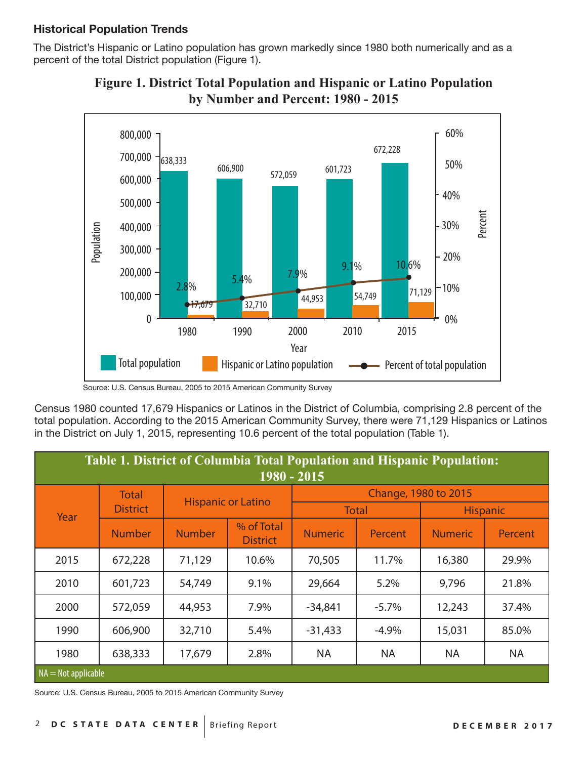#### **Historical Population Trends**

The District's Hispanic or Latino population has grown markedly since 1980 both numerically and as a percent of the total District population (Figure 1).





Census 1980 counted 17,679 Hispanics or Latinos in the District of Columbia, comprising 2.8 percent of the total population. According to the 2015 American Community Survey, there were 71,129 Hispanics or Latinos in the District on July 1, 2015, representing 10.6 percent of the total population (Table 1).

| <b>Table 1. District of Columbia Total Population and Hispanic Population:</b><br>1980 - 2015 |                 |                           |                               |                        |          |                 |           |  |
|-----------------------------------------------------------------------------------------------|-----------------|---------------------------|-------------------------------|------------------------|----------|-----------------|-----------|--|
| Year                                                                                          | <b>Total</b>    | <b>Hispanic or Latino</b> |                               | Change, 1980 to 2015   |          |                 |           |  |
|                                                                                               | <b>District</b> |                           |                               | <b>Total</b>           |          | <b>Hispanic</b> |           |  |
|                                                                                               | <b>Number</b>   | <b>Number</b>             | % of Total<br><b>District</b> | <b>Numeric</b>         | Percent  | <b>Numeric</b>  | Percent   |  |
| 2015                                                                                          | 672,228         | 71,129                    | 10.6%                         | 70,505                 | 11.7%    | 16,380          | 29.9%     |  |
| 2010                                                                                          | 601,723         | 54,749                    | 9.1%                          | 29,664                 | 5.2%     |                 | 21.8%     |  |
| 2000                                                                                          | 572,059         | 44,953                    | 7.9%                          | $-34,841$              | $-5.7\%$ | 12,243          | 37.4%     |  |
| 1990                                                                                          | 606,900         | 32,710                    | 5.4%                          | $-31,433$              | $-4.9%$  | 15,031          | 85.0%     |  |
| 1980                                                                                          | 638,333         | 17,679                    | 2.8%                          | <b>NA</b><br><b>NA</b> |          | <b>NA</b>       | <b>NA</b> |  |
| $NA = Not applicable$                                                                         |                 |                           |                               |                        |          |                 |           |  |

Source: U.S. Census Bureau, 2005 to 2015 American Community Survey

Source: U.S. Census Bureau, 2005 to 2015 American Community Survey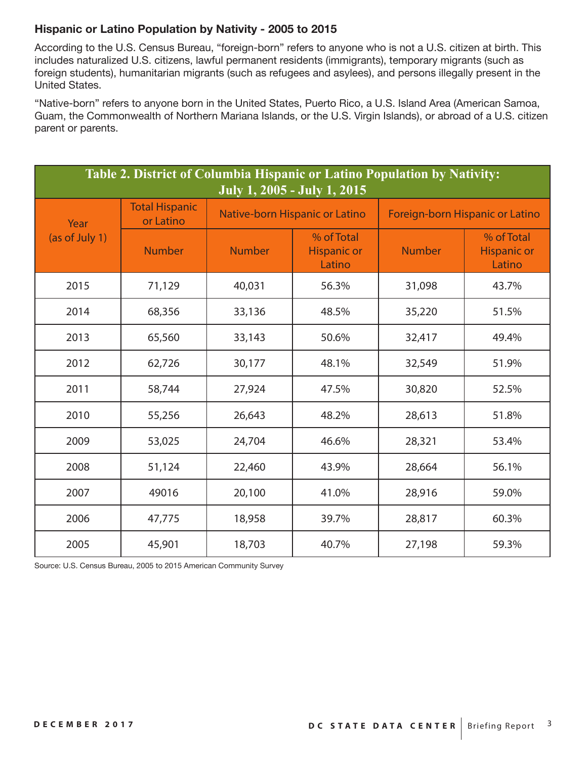#### **Hispanic or Latino Population by Nativity - 2005 to 2015**

According to the U.S. Census Bureau, "foreign-born" refers to anyone who is not a U.S. citizen at birth. This includes naturalized U.S. citizens, lawful permanent residents (immigrants), temporary migrants (such as foreign students), humanitarian migrants (such as refugees and asylees), and persons illegally present in the United States.

"Native-born" refers to anyone born in the United States, Puerto Rico, a U.S. Island Area (American Samoa, Guam, the Commonwealth of Northern Mariana Islands, or the U.S. Virgin Islands), or abroad of a U.S. citizen parent or parents.

| Table 2. District of Columbia Hispanic or Latino Population by Nativity:<br>July 1, 2005 - July 1, 2015 |                                    |                                |                                            |               |                                            |  |  |  |
|---------------------------------------------------------------------------------------------------------|------------------------------------|--------------------------------|--------------------------------------------|---------------|--------------------------------------------|--|--|--|
| Year<br>(as of July 1)                                                                                  | <b>Total Hispanic</b><br>or Latino | Native-born Hispanic or Latino |                                            |               | Foreign-born Hispanic or Latino            |  |  |  |
|                                                                                                         | <b>Number</b>                      | <b>Number</b>                  | % of Total<br><b>Hispanic or</b><br>Latino | <b>Number</b> | % of Total<br><b>Hispanic or</b><br>Latino |  |  |  |
| 2015                                                                                                    | 71,129                             | 40,031                         | 56.3%                                      | 31,098        | 43.7%                                      |  |  |  |
| 2014                                                                                                    | 68,356                             | 33,136                         | 48.5%                                      | 35,220        | 51.5%                                      |  |  |  |
| 2013                                                                                                    | 65,560                             | 33,143                         | 50.6%                                      | 32,417        | 49.4%                                      |  |  |  |
| 2012                                                                                                    | 62,726                             | 30,177                         | 48.1%                                      | 32,549        | 51.9%                                      |  |  |  |
| 2011                                                                                                    | 58,744                             | 27,924                         | 47.5%                                      | 30,820        | 52.5%                                      |  |  |  |
| 2010                                                                                                    | 55,256                             | 26,643                         | 48.2%                                      | 28,613        | 51.8%                                      |  |  |  |
| 2009                                                                                                    | 53,025                             | 24,704                         | 46.6%                                      | 28,321        | 53.4%                                      |  |  |  |
| 2008                                                                                                    | 51,124                             | 22,460                         | 43.9%                                      | 28,664        | 56.1%                                      |  |  |  |
| 2007                                                                                                    | 49016                              | 20,100                         | 41.0%                                      | 28,916        | 59.0%                                      |  |  |  |
| 2006                                                                                                    | 47,775                             | 18,958                         | 39.7%                                      | 28,817        | 60.3%                                      |  |  |  |
| 2005                                                                                                    | 45,901                             | 18,703                         | 40.7%                                      | 27,198        | 59.3%                                      |  |  |  |

Source: U.S. Census Bureau, 2005 to 2015 American Community Survey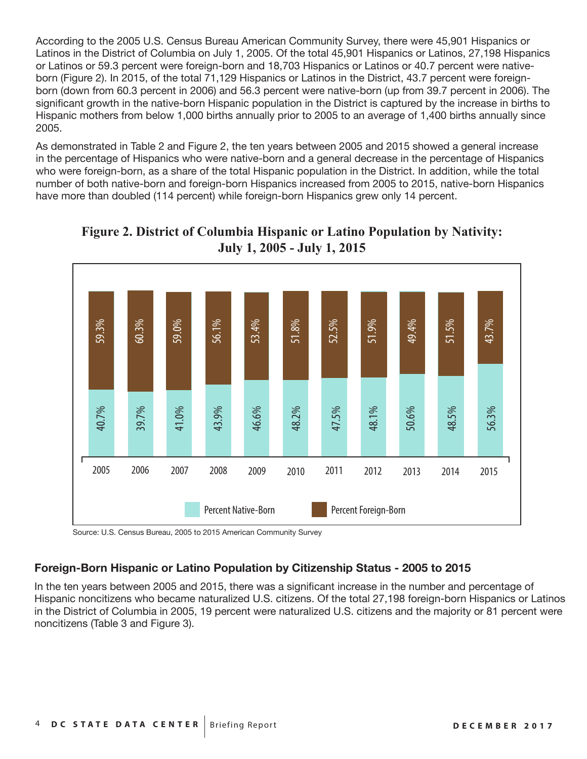According to the 2005 U.S. Census Bureau American Community Survey, there were 45,901 Hispanics or Latinos in the District of Columbia on July 1, 2005. Of the total 45,901 Hispanics or Latinos, 27,198 Hispanics or Latinos or 59.3 percent were foreign-born and 18,703 Hispanics or Latinos or 40.7 percent were nativeborn (Figure 2). In 2015, of the total 71,129 Hispanics or Latinos in the District, 43.7 percent were foreignborn (down from 60.3 percent in 2006) and 56.3 percent were native-born (up from 39.7 percent in 2006). The significant growth in the native-born Hispanic population in the District is captured by the increase in births to Hispanic mothers from below 1,000 births annually prior to 2005 to an average of 1,400 births annually since 2005.

As demonstrated in Table 2 and Figure 2, the ten years between 2005 and 2015 showed a general increase in the percentage of Hispanics who were native-born and a general decrease in the percentage of Hispanics who were foreign-born, as a share of the total Hispanic population in the District. In addition, while the total number of both native-born and foreign-born Hispanics increased from 2005 to 2015, native-born Hispanics have more than doubled (114 percent) while foreign-born Hispanics grew only 14 percent.



## **Figure 2. District of Columbia Hispanic or Latino Population by Nativity: July 1, 2005 - July 1, 2015**

Source: U.S. Census Bureau, 2005 to 2015 American Community Survey

#### **Foreign-Born Hispanic or Latino Population by Citizenship Status - 2005 to 2015**

In the ten years between 2005 and 2015, there was a significant increase in the number and percentage of Hispanic noncitizens who became naturalized U.S. citizens. Of the total 27,198 foreign-born Hispanics or Latinos in the District of Columbia in 2005, 19 percent were naturalized U.S. citizens and the majority or 81 percent were noncitizens (Table 3 and Figure 3).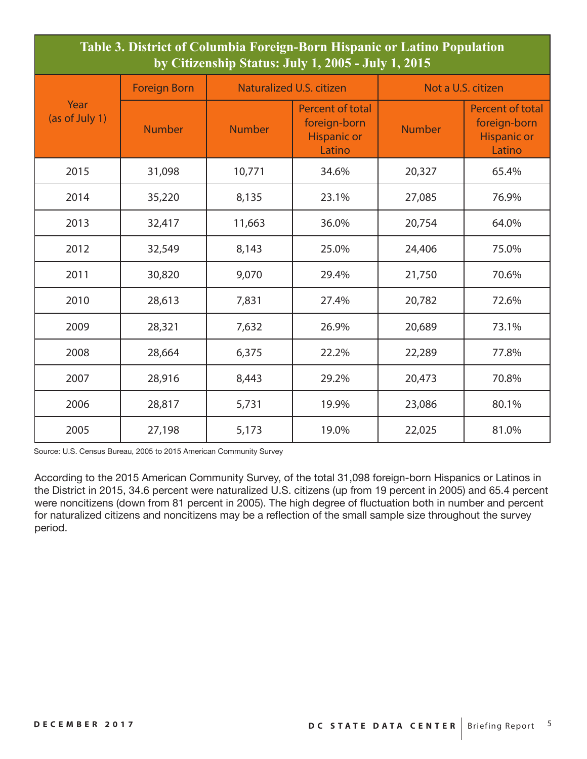| Table 3. District of Columbia Foreign-Born Hispanic or Latino Population<br>by Citizenship Status: July 1, 2005 - July 1, 2015 |                     |               |                                                                         |                    |                                                                         |  |  |
|--------------------------------------------------------------------------------------------------------------------------------|---------------------|---------------|-------------------------------------------------------------------------|--------------------|-------------------------------------------------------------------------|--|--|
|                                                                                                                                | <b>Foreign Born</b> |               | Naturalized U.S. citizen                                                | Not a U.S. citizen |                                                                         |  |  |
| Year<br>(as of July 1)                                                                                                         | <b>Number</b>       | <b>Number</b> | <b>Percent of total</b><br>foreign-born<br><b>Hispanic or</b><br>Latino | <b>Number</b>      | <b>Percent of total</b><br>foreign-born<br><b>Hispanic or</b><br>Latino |  |  |
| 2015                                                                                                                           | 31,098              | 10,771        | 34.6%                                                                   | 20,327             | 65.4%                                                                   |  |  |
| 2014                                                                                                                           | 35,220              | 8,135         | 23.1%                                                                   | 27,085             | 76.9%                                                                   |  |  |
| 2013                                                                                                                           | 32,417              | 11,663        | 36.0%                                                                   | 20,754             | 64.0%                                                                   |  |  |
| 2012                                                                                                                           | 32,549              | 8,143         | 25.0%                                                                   | 24,406             | 75.0%                                                                   |  |  |
| 2011                                                                                                                           | 30,820              | 9,070         | 29.4%                                                                   | 21,750             | 70.6%                                                                   |  |  |
| 2010                                                                                                                           | 28,613              | 7,831         | 27.4%                                                                   | 20,782             | 72.6%                                                                   |  |  |
| 2009                                                                                                                           | 28,321              | 7,632         | 26.9%                                                                   | 20,689             | 73.1%                                                                   |  |  |
| 2008                                                                                                                           | 28,664              | 6,375         | 22.2%                                                                   | 22,289             | 77.8%                                                                   |  |  |
| 2007                                                                                                                           | 28,916              | 8,443         | 29.2%                                                                   | 20,473             | 70.8%                                                                   |  |  |
| 2006                                                                                                                           | 28,817              | 5,731         | 19.9%                                                                   | 23,086             | 80.1%                                                                   |  |  |
| 2005                                                                                                                           | 27,198              | 5,173         | 19.0%                                                                   | 22,025             | 81.0%                                                                   |  |  |

Source: U.S. Census Bureau, 2005 to 2015 American Community Survey

According to the 2015 American Community Survey, of the total 31,098 foreign-born Hispanics or Latinos in the District in 2015, 34.6 percent were naturalized U.S. citizens (up from 19 percent in 2005) and 65.4 percent were noncitizens (down from 81 percent in 2005). The high degree of fluctuation both in number and percent for naturalized citizens and noncitizens may be a reflection of the small sample size throughout the survey period.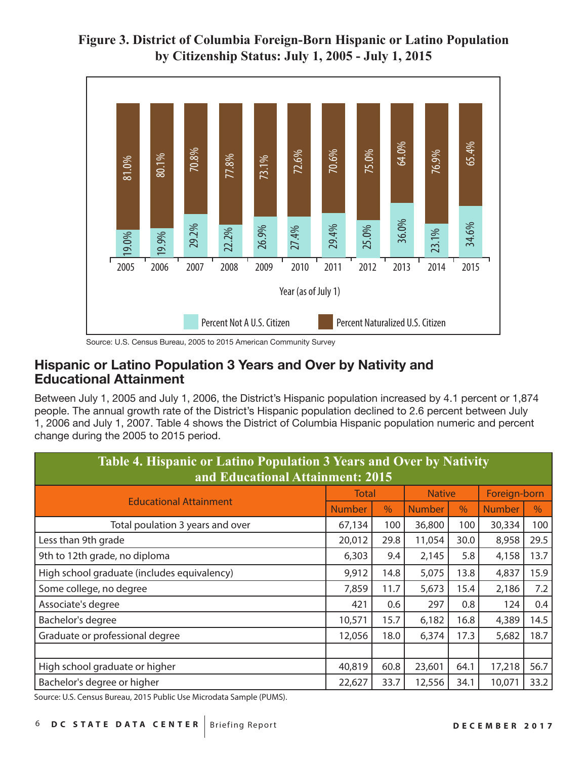## **Figure 3. District of Columbia Foreign-Born Hispanic or Latino Population by Citizenship Status: July 1, 2005 - July 1, 2015**



Source: U.S. Census Bureau, 2005 to 2015 American Community Survey

### **Hispanic or Latino Population 3 Years and Over by Nativity and Educational Attainment**

Between July 1, 2005 and July 1, 2006, the District's Hispanic population increased by 4.1 percent or 1,874 people. The annual growth rate of the District's Hispanic population declined to 2.6 percent between July 1, 2006 and July 1, 2007. Table 4 shows the District of Columbia Hispanic population numeric and percent change during the 2005 to 2015 period.

| Table 4. Hispanic or Latino Population 3 Years and Over by Nativity |                                                |      |               |               |              |      |  |  |
|---------------------------------------------------------------------|------------------------------------------------|------|---------------|---------------|--------------|------|--|--|
| and Educational Attainment: 2015                                    |                                                |      |               |               |              |      |  |  |
| <b>Educational Attainment</b>                                       | <b>Total</b>                                   |      | <b>Native</b> |               | Foreign-born |      |  |  |
|                                                                     | $\%$<br>$\%$<br><b>Number</b><br><b>Number</b> |      | <b>Number</b> | $\frac{0}{0}$ |              |      |  |  |
| Total poulation 3 years and over                                    | 67,134                                         | 100  | 36,800        | 100           | 30,334       | 100  |  |  |
| Less than 9th grade                                                 | 20,012                                         | 29.8 | 11,054        | 30.0          | 8,958        | 29.5 |  |  |
| 9th to 12th grade, no diploma                                       | 6,303                                          | 9.4  | 2,145         | 5.8           | 4,158        | 13.7 |  |  |
| High school graduate (includes equivalency)                         | 9,912                                          | 14.8 | 5,075         | 13.8          | 4,837        | 15.9 |  |  |
| Some college, no degree                                             |                                                | 11.7 | 5,673         | 15.4          | 2,186        | 7.2  |  |  |
| Associate's degree                                                  | 421                                            | 0.6  | 297           | 0.8           | 124          | 0.4  |  |  |
| Bachelor's degree                                                   | 10,571                                         | 15.7 | 6,182         | 16.8          | 4,389        | 14.5 |  |  |
| Graduate or professional degree                                     | 12,056                                         | 18.0 | 6,374         | 17.3          | 5,682        | 18.7 |  |  |
|                                                                     |                                                |      |               |               |              |      |  |  |
| High school graduate or higher                                      | 40,819                                         | 60.8 | 23,601        | 64.1          | 17,218       | 56.7 |  |  |
| Bachelor's degree or higher                                         | 22,627                                         | 33.7 | 12,556        | 34.1          | 10,071       | 33.2 |  |  |

Source: U.S. Census Bureau, 2015 Public Use Microdata Sample (PUMS).